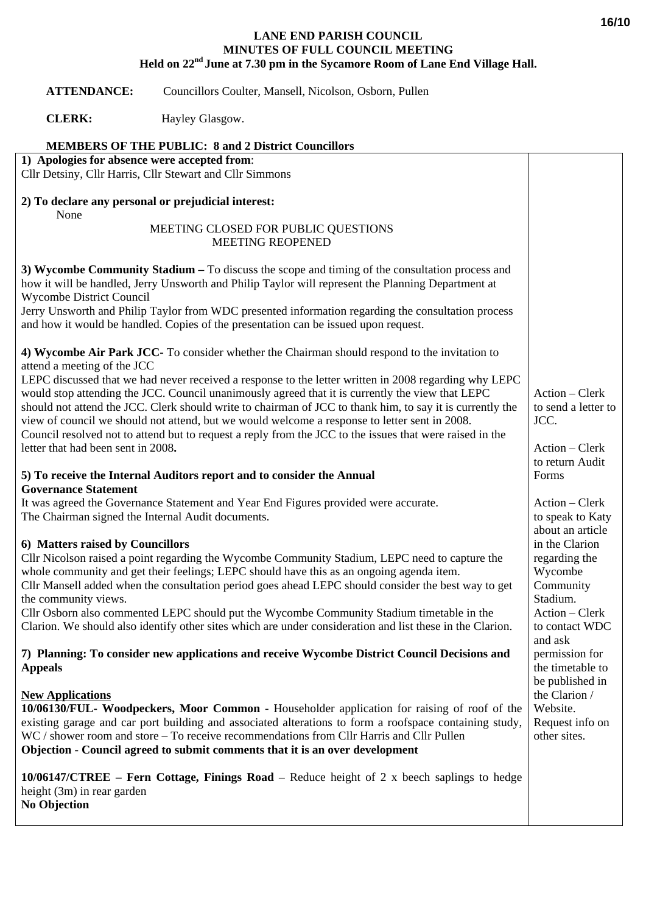## **LANE END PARISH COUNCIL MINUTES OF FULL COUNCIL MEETING Held on 22nd June at 7.30 pm in the Sycamore Room of Lane End Village Hall.**

 **ATTENDANCE:** Councillors Coulter, Mansell, Nicolson, Osborn, Pullen

**CLERK:** Hayley Glasgow.

|  | <b>MEMBERS OF THE PUBLIC: 8 and 2 District Councillors</b> |
|--|------------------------------------------------------------|
|  |                                                            |

**1) Apologies for absence were accepted from**:

Cllr Detsiny, Cllr Harris, Cllr Stewart and Cllr Simmons

## **2) To declare any personal or prejudicial interest:** None

## MEETING CLOSED FOR PUBLIC QUESTIONS MEETING REOPENED

**3) Wycombe Community Stadium –** To discuss the scope and timing of the consultation process and how it will be handled, Jerry Unsworth and Philip Taylor will represent the Planning Department at Wycombe District Council Jerry Unsworth and Philip Taylor from WDC presented information regarding the consultation process and how it would be handled. Copies of the presentation can be issued upon request. **4) Wycombe Air Park JCC-** To consider whether the Chairman should respond to the invitation to attend a meeting of the JCC LEPC discussed that we had never received a response to the letter written in 2008 regarding why LEPC would stop attending the JCC. Council unanimously agreed that it is currently the view that LEPC should not attend the JCC. Clerk should write to chairman of JCC to thank him, to say it is currently the view of council we should not attend, but we would welcome a response to letter sent in 2008. Council resolved not to attend but to request a reply from the JCC to the issues that were raised in the letter that had been sent in 2008**. 5) To receive the Internal Auditors report and to consider the Annual Governance Statement**  It was agreed the Governance Statement and Year End Figures provided were accurate. The Chairman signed the Internal Audit documents. **6) Matters raised by Councillors**  Cllr Nicolson raised a point regarding the Wycombe Community Stadium, LEPC need to capture the whole community and get their feelings; LEPC should have this as an ongoing agenda item. Cllr Mansell added when the consultation period goes ahead LEPC should consider the best way to get the community views. Cllr Osborn also commented LEPC should put the Wycombe Community Stadium timetable in the Clarion. We should also identify other sites which are under consideration and list these in the Clarion. **7) Planning: To consider new applications and receive Wycombe District Council Decisions and Appeals New Applications 10/06130/FUL- Woodpeckers, Moor Common** - Householder application for raising of roof of the existing garage and car port building and associated alterations to form a roofspace containing study, WC / shower room and store – To receive recommendations from Cllr Harris and Cllr Pullen **Objection - Council agreed to submit comments that it is an over development 10/06147/CTREE – Fern Cottage, Finings Road** – Reduce height of 2 x beech saplings to hedge height (3m) in rear garden **No Objection**  Action – Clerk to send a letter to JCC. Action – Clerk to return Audit Forms Action – Clerk to speak to Katy about an article in the Clarion regarding the Wycombe Community Stadium. Action – Clerk to contact WDC and ask permission for the timetable to be published in the Clarion / Website. Request info on other sites.